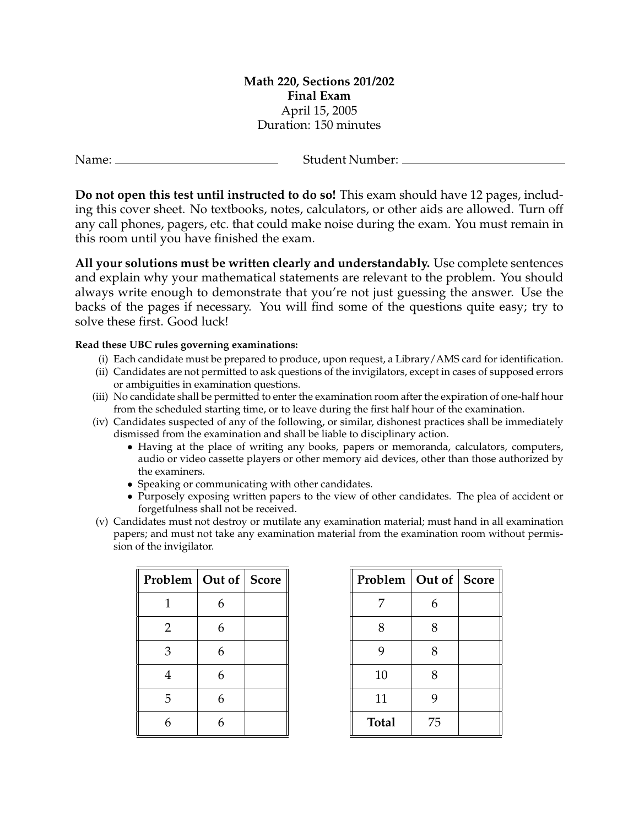## **Math 220, Sections 201/202 Final Exam** April 15, 2005 Duration: 150 minutes

| Name: | Student Number: _ |
|-------|-------------------|
|       |                   |

**Do not open this test until instructed to do so!** This exam should have 12 pages, including this cover sheet. No textbooks, notes, calculators, or other aids are allowed. Turn off any call phones, pagers, etc. that could make noise during the exam. You must remain in this room until you have finished the exam.

**All your solutions must be written clearly and understandably.** Use complete sentences and explain why your mathematical statements are relevant to the problem. You should always write enough to demonstrate that you're not just guessing the answer. Use the backs of the pages if necessary. You will find some of the questions quite easy; try to solve these first. Good luck!

## **Read these UBC rules governing examinations:**

- (i) Each candidate must be prepared to produce, upon request, a Library/AMS card for identification.
- (ii) Candidates are not permitted to ask questions of the invigilators, except in cases of supposed errors or ambiguities in examination questions.
- (iii) No candidate shall be permitted to enter the examination room after the expiration of one-half hour from the scheduled starting time, or to leave during the first half hour of the examination.
- (iv) Candidates suspected of any of the following, or similar, dishonest practices shall be immediately dismissed from the examination and shall be liable to disciplinary action.
	- Having at the place of writing any books, papers or memoranda, calculators, computers, audio or video cassette players or other memory aid devices, other than those authorized by the examiners.
	- Speaking or communicating with other candidates.
	- Purposely exposing written papers to the view of other candidates. The plea of accident or forgetfulness shall not be received.
- (v) Candidates must not destroy or mutilate any examination material; must hand in all examination papers; and must not take any examination material from the examination room without permission of the invigilator.

| Problem   Out of   Score |   |  |
|--------------------------|---|--|
| 1                        | 6 |  |
| 2                        | 6 |  |
| 3                        | 6 |  |
| 4                        | 6 |  |
| 5                        | 6 |  |
| 6                        | 6 |  |

| Problem      | Out of   Score |  |
|--------------|----------------|--|
| 7            | 6              |  |
| 8            | 8              |  |
| 9            | 8              |  |
| 10           | 8              |  |
| 11           | 9              |  |
| <b>Total</b> | 75             |  |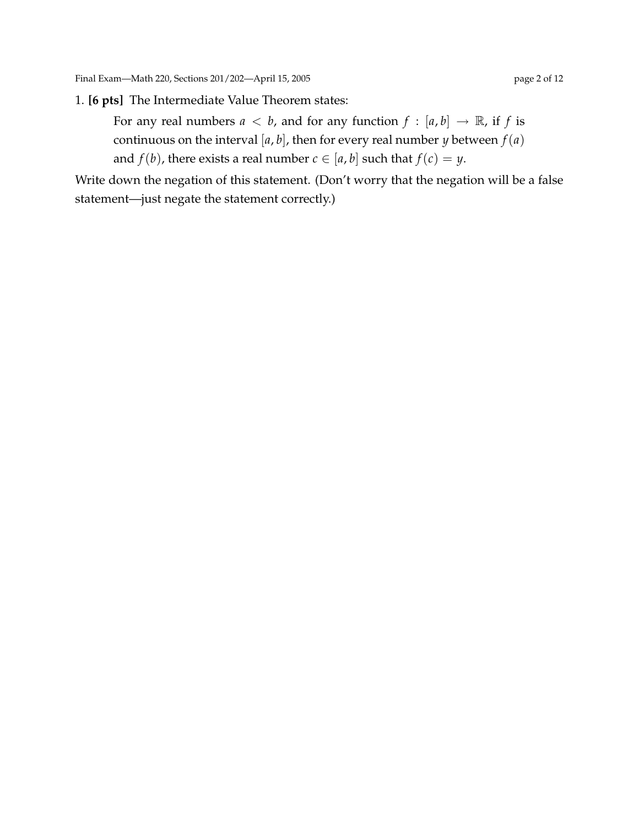## 1. **[6 pts]** The Intermediate Value Theorem states:

For any real numbers  $a < b$ , and for any function  $f : [a, b] \rightarrow \mathbb{R}$ , if f is continuous on the interval  $[a, b]$ , then for every real number *y* between  $f(a)$ and *f*(*b*), there exists a real number *c*  $\in$  [*a*, *b*] such that *f*(*c*) = *y*.

Write down the negation of this statement. (Don't worry that the negation will be a false statement—just negate the statement correctly.)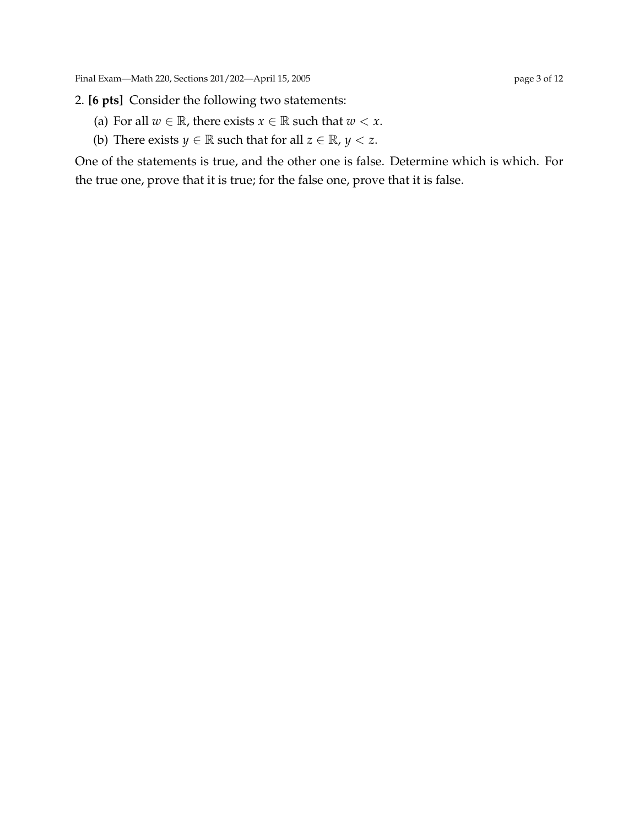- (a) For all  $w \in \mathbb{R}$ , there exists  $x \in \mathbb{R}$  such that  $w < x$ .
- (b) There exists *y*  $\in \mathbb{R}$  such that for all  $z \in \mathbb{R}$ , *y*  $\lt z$ .

One of the statements is true, and the other one is false. Determine which is which. For the true one, prove that it is true; for the false one, prove that it is false.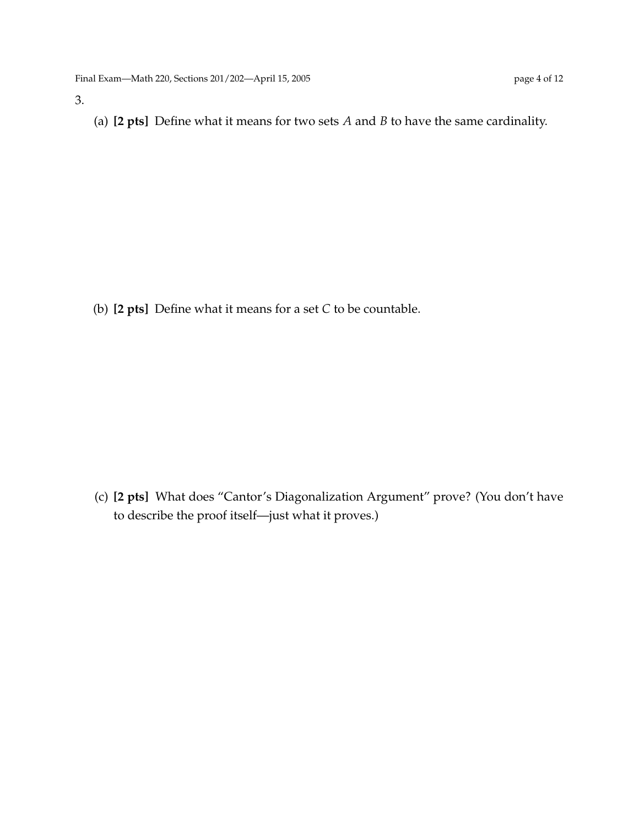3.

(a) **[2 pts]** Define what it means for two sets *A* and *B* to have the same cardinality.

(b) **[2 pts]** Define what it means for a set *C* to be countable.

(c) **[2 pts]** What does "Cantor's Diagonalization Argument" prove? (You don't have to describe the proof itself—just what it proves.)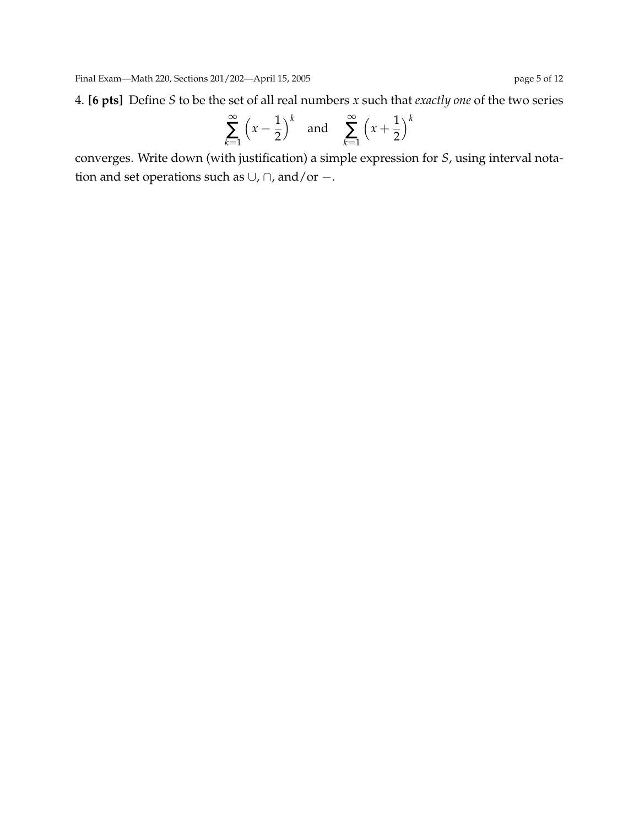4. **[6 pts]** Define *S* to be the set of all real numbers *x* such that *exactly one* of the two series

$$
\sum_{k=1}^{\infty} \left(x - \frac{1}{2}\right)^k \quad \text{and} \quad \sum_{k=1}^{\infty} \left(x + \frac{1}{2}\right)^k
$$

converges. Write down (with justification) a simple expression for *S*, using interval notation and set operations such as ∪, ∩, and/or −.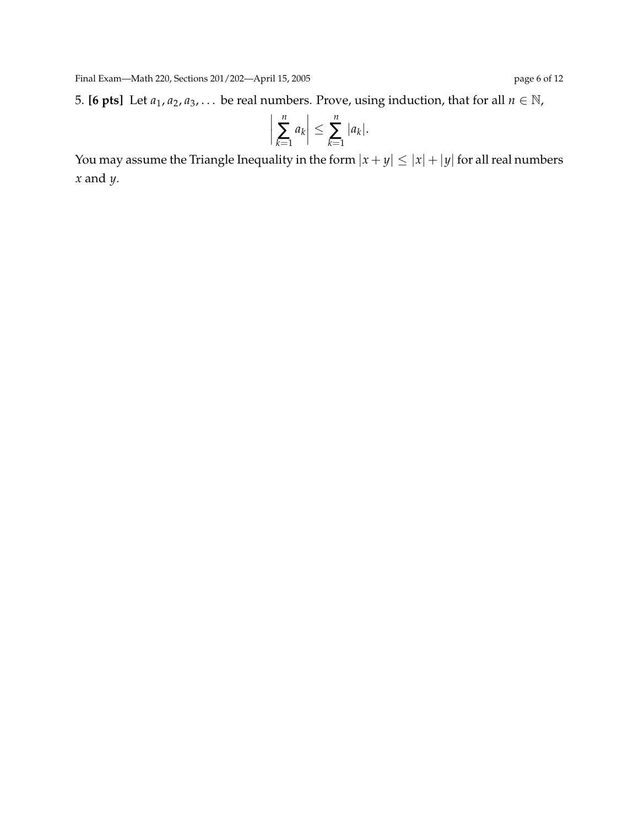5. **[6 pts]** Let  $a_1, a_2, a_3, \ldots$  be real numbers. Prove, using induction, that for all  $n \in \mathbb{N}$ ,

$$
\left|\sum_{k=1}^n a_k\right| \leq \sum_{k=1}^n |a_k|.
$$

You may assume the Triangle Inequality in the form  $|x + y| \le |x| + |y|$  for all real numbers *x* and *y*.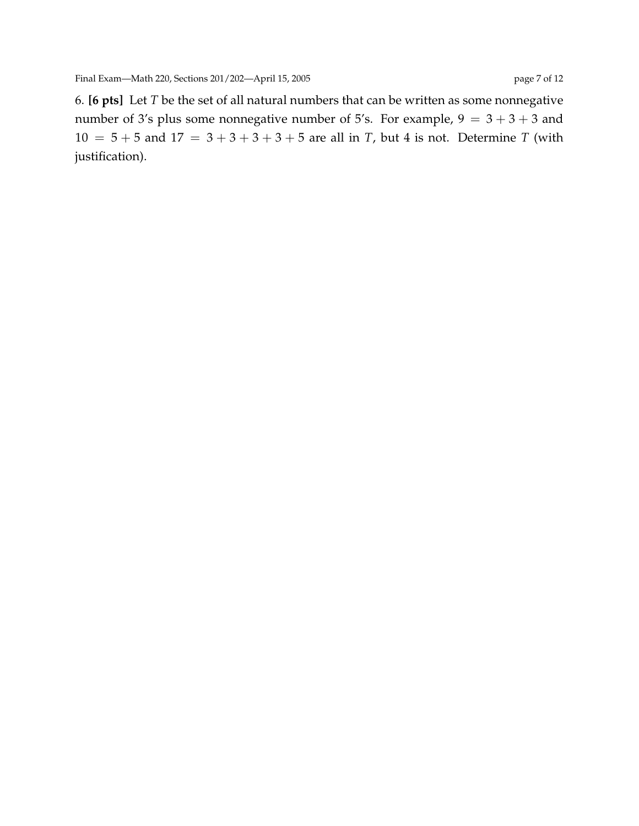6. **[6 pts]** Let *T* be the set of all natural numbers that can be written as some nonnegative number of 3's plus some nonnegative number of 5's. For example,  $9 = 3 + 3 + 3$  and  $10 = 5 + 5$  and  $17 = 3 + 3 + 3 + 5$  are all in *T*, but 4 is not. Determine *T* (with justification).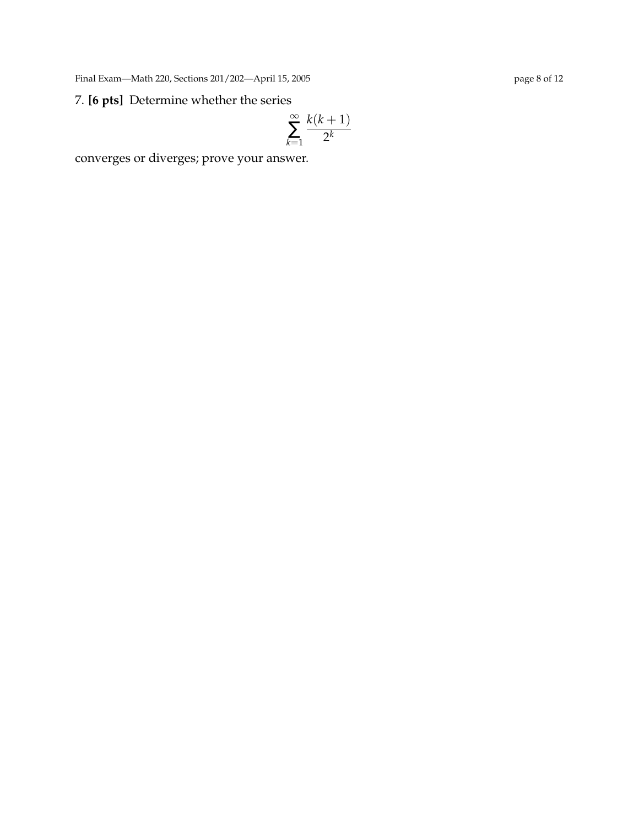Final Exam—Math 220, Sections 201/202—April 15, 2005 page 8 of 12

## 7. **[6 pts]** Determine whether the series

$$
\sum_{k=1}^{\infty} \frac{k(k+1)}{2^k}
$$

converges or diverges; prove your answer.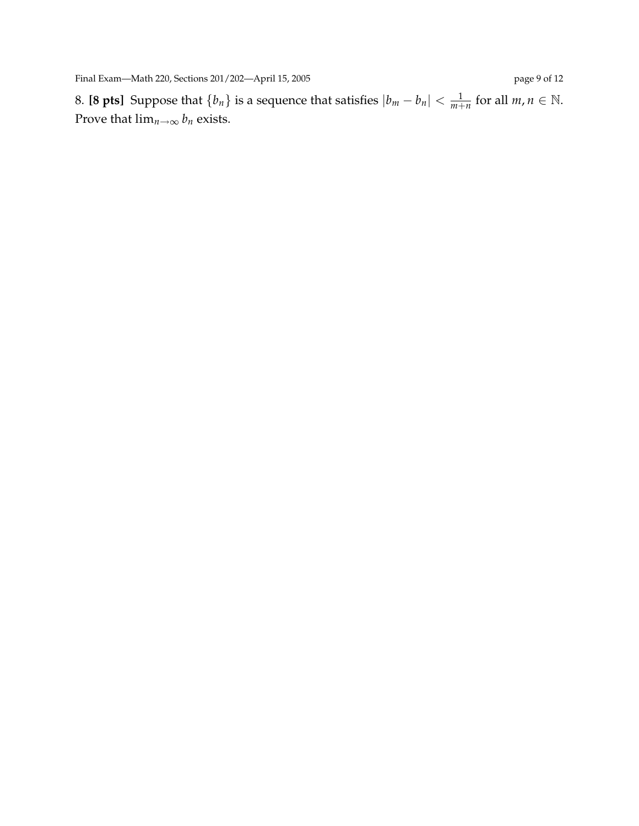8. **[8 pts]** Suppose that  $\{b_n\}$  is a sequence that satisfies  $|b_m - b_n| < \frac{1}{m+n}$  for all  $m, n \in \mathbb{N}$ . Prove that  $\lim_{n\to\infty} b_n$  exists.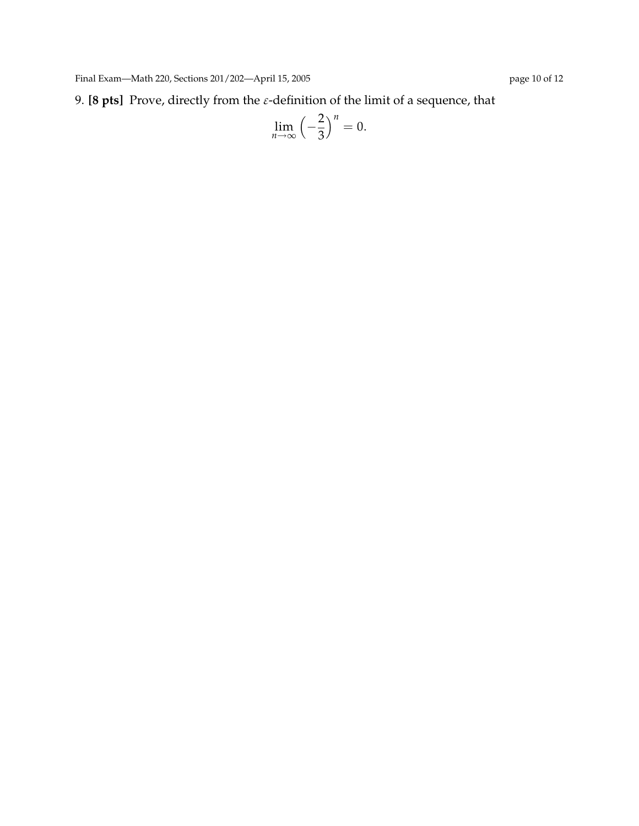9. **[8 pts]** Prove, directly from the  $\varepsilon$ -definition of the limit of a sequence, that

$$
\lim_{n\to\infty}\left(-\frac{2}{3}\right)^n=0.
$$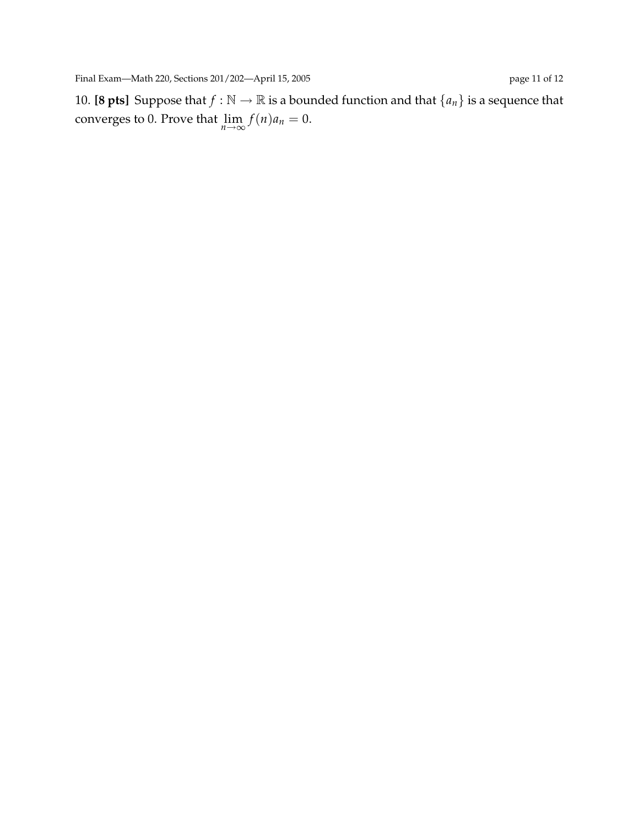10. **[8 pts]** Suppose that  $f : \mathbb{N} \to \mathbb{R}$  is a bounded function and that  $\{a_n\}$  is a sequence that converges to 0. Prove that  $\lim_{n\to\infty} f(n)a_n = 0$ .